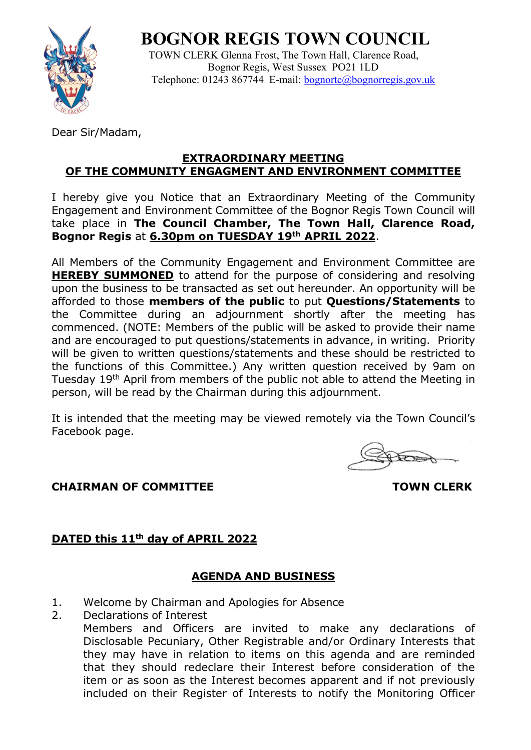# **BOGNOR REGIS TOWN COUNCIL**



 TOWN CLERK Glenna Frost, The Town Hall, Clarence Road, Bognor Regis, West Sussex PO21 1LD Telephone: 01243 867744 E-mail: [bognortc@bognorregis.gov.uk](mailto:bognortc@bognorregis.gov.uk)

Dear Sir/Madam,

#### **EXTRAORDINARY MEETING OF THE COMMUNITY ENGAGMENT AND ENVIRONMENT COMMITTEE**

I hereby give you Notice that an Extraordinary Meeting of the Community Engagement and Environment Committee of the Bognor Regis Town Council will take place in **The Council Chamber, The Town Hall, Clarence Road, Bognor Regis** at **6.30pm on TUESDAY 19th APRIL 2022**.

All Members of the Community Engagement and Environment Committee are **HEREBY SUMMONED** to attend for the purpose of considering and resolving upon the business to be transacted as set out hereunder. An opportunity will be afforded to those **members of the public** to put **Questions/Statements** to the Committee during an adjournment shortly after the meeting has commenced. (NOTE: Members of the public will be asked to provide their name and are encouraged to put questions/statements in advance, in writing. Priority will be given to written questions/statements and these should be restricted to the functions of this Committee.) Any written question received by 9am on Tuesday 19<sup>th</sup> April from members of the public not able to attend the Meeting in person, will be read by the Chairman during this adjournment.

It is intended that the meeting may be viewed remotely via the Town Council's Facebook page.

**CHAIRMAN OF COMMITTEE TOWN CLERK** 

## **DATED this 11th day of APRIL 2022**

## **AGENDA AND BUSINESS**

- 1. Welcome by Chairman and Apologies for Absence
- 2. Declarations of Interest

Members and Officers are invited to make any declarations of Disclosable Pecuniary, Other Registrable and/or Ordinary Interests that they may have in relation to items on this agenda and are reminded that they should redeclare their Interest before consideration of the item or as soon as the Interest becomes apparent and if not previously included on their Register of Interests to notify the Monitoring Officer